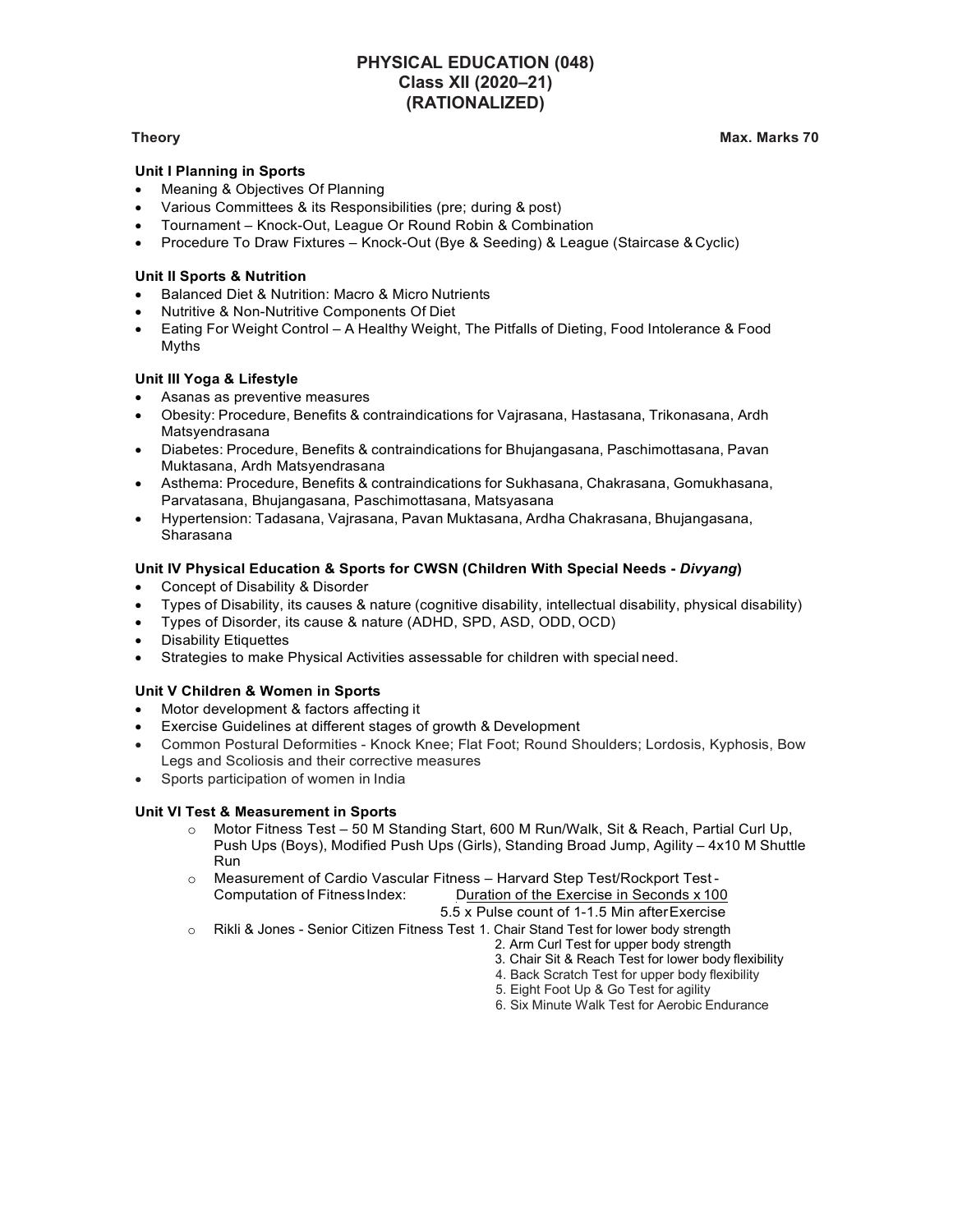# PHYSICAL EDUCATION (048) Class XII (2020–21) (RATIONALIZED)

### Theory Max. Marks 70

# Unit I Planning in Sports

- Meaning & Objectives Of Planning
- Various Committees & its Responsibilities (pre; during & post)
- Tournament Knock-Out, League Or Round Robin & Combination
- Procedure To Draw Fixtures Knock-Out (Bye & Seeding) & League (Staircase & Cyclic)

# Unit II Sports & Nutrition

- Balanced Diet & Nutrition: Macro & Micro Nutrients
- Nutritive & Non-Nutritive Components Of Diet
- Eating For Weight Control A Healthy Weight, The Pitfalls of Dieting, Food Intolerance & Food Myths

# Unit III Yoga & Lifestyle

- Asanas as preventive measures
- Obesity: Procedure, Benefits & contraindications for Vajrasana, Hastasana, Trikonasana, Ardh Matsyendrasana
- Diabetes: Procedure, Benefits & contraindications for Bhujangasana, Paschimottasana, Pavan Muktasana, Ardh Matsyendrasana
- Asthema: Procedure, Benefits & contraindications for Sukhasana, Chakrasana, Gomukhasana, Parvatasana, Bhujangasana, Paschimottasana, Matsyasana
- Hypertension: Tadasana, Vajrasana, Pavan Muktasana, Ardha Chakrasana, Bhujangasana, Sharasana

# Unit IV Physical Education & Sports for CWSN (Children With Special Needs - Divyang)

- Concept of Disability & Disorder
- Types of Disability, its causes & nature (cognitive disability, intellectual disability, physical disability)
- Types of Disorder, its cause & nature (ADHD, SPD, ASD, ODD, OCD)
- Disability Etiquettes
- Strategies to make Physical Activities assessable for children with special need.

### Unit V Children & Women in Sports

- Motor development & factors affecting it
- Exercise Guidelines at different stages of growth & Development
- Common Postural Deformities Knock Knee; Flat Foot; Round Shoulders; Lordosis, Kyphosis, Bow Legs and Scoliosis and their corrective measures
- Sports participation of women in India

### Unit VI Test & Measurement in Sports

- o Motor Fitness Test 50 M Standing Start, 600 M Run/Walk, Sit & Reach, Partial Curl Up, Push Ups (Boys), Modified Push Ups (Girls), Standing Broad Jump, Agility – 4x10 M Shuttle **Run Run Run Run Run**
- o Measurement of Cardio Vascular Fitness Harvard Step Test/Rockport Test Computation of Fitness Index: Duration of the Exercise in Seconds x 100 5.5 x Pulse count of 1-1.5 Min after Exercise
- o Rikli & Jones Senior Citizen Fitness Test 1. Chair Stand Test for lower body strength
	- 2. Arm Curl Test for upper body strength
		- 3. Chair Sit & Reach Test for lower body flexibility
		- 4. Back Scratch Test for upper body flexibility
		- 5. Eight Foot Up & Go Test for agility
		- 6. Six Minute Walk Test for Aerobic Endurance